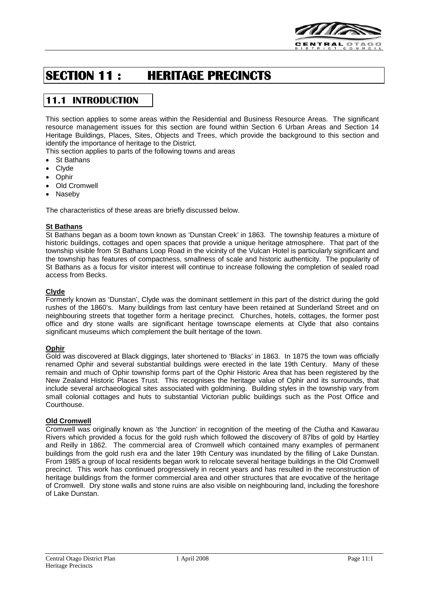

# **SECTION 11 : HERITAGE PRECINCTS**

# **11.1 INTRODUCTION**

This section applies to some areas within the Residential and Business Resource Areas. The significant resource management issues for this section are found within Section 6 Urban Areas and Section 14 Heritage Buildings, Places, Sites, Objects and Trees, which provide the background to this section and identify the importance of heritage to the District.

This section applies to parts of the following towns and areas

- St Bathans
- Clyde
- Ophir
- **Old Cromwell**
- **Naseby**

The characteristics of these areas are briefly discussed below.

#### **St Bathans**

St Bathans began as a boom town known as 'Dunstan Creek' in 1863. The township features a mixture of historic buildings, cottages and open spaces that provide a unique heritage atmosphere. That part of the township visible from St Bathans Loop Road in the vicinity of the Vulcan Hotel is particularly significant and the township has features of compactness, smallness of scale and historic authenticity. The popularity of St Bathans as a focus for visitor interest will continue to increase following the completion of sealed road access from Becks.

#### **Clyde**

Formerly known as 'Dunstan', Clyde was the dominant settlement in this part of the district during the gold rushes of the 1860's. Many buildings from last century have been retained at Sunderland Street and on neighbouring streets that together form a heritage precinct. Churches, hotels, cottages, the former post office and dry stone walls are significant heritage townscape elements at Clyde that also contains significant museums which complement the built heritage of the town.

#### **Ophir**

Gold was discovered at Black diggings, later shortened to 'Blacks' in 1863. In 1875 the town was officially renamed Ophir and several substantial buildings were erected in the late 19th Century. Many of these remain and much of Ophir township forms part of the Ophir Historic Area that has been registered by the New Zealand Historic Places Trust. This recognises the heritage value of Ophir and its surrounds, that include several archaeological sites associated with goldmining. Building styles in the township vary from small colonial cottages and huts to substantial Victorian public buildings such as the Post Office and Courthouse.

#### **Old Cromwell**

Cromwell was originally known as 'the Junction' in recognition of the meeting of the Clutha and Kawarau Rivers which provided a focus for the gold rush which followed the discovery of 87lbs of gold by Hartley and Reilly in 1862. The commercial area of Cromwell which contained many examples of permanent buildings from the gold rush era and the later 19th Century was inundated by the filling of Lake Dunstan. From 1985 a group of local residents began work to relocate several heritage buildings in the Old Cromwell precinct. This work has continued progressively in recent years and has resulted in the reconstruction of heritage buildings from the former commercial area and other structures that are evocative of the heritage of Cromwell. Dry stone walls and stone ruins are also visible on neighbouring land, including the foreshore of Lake Dunstan.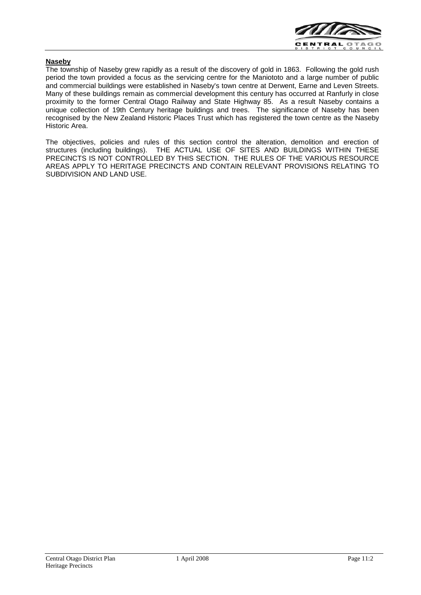

#### **Naseby**

The township of Naseby grew rapidly as a result of the discovery of gold in 1863. Following the gold rush period the town provided a focus as the servicing centre for the Maniototo and a large number of public and commercial buildings were established in Naseby's town centre at Derwent, Earne and Leven Streets. Many of these buildings remain as commercial development this century has occurred at Ranfurly in close proximity to the former Central Otago Railway and State Highway 85. As a result Naseby contains a unique collection of 19th Century heritage buildings and trees. The significance of Naseby has been recognised by the New Zealand Historic Places Trust which has registered the town centre as the Naseby Historic Area.

The objectives, policies and rules of this section control the alteration, demolition and erection of structures (including buildings). THE ACTUAL USE OF SITES AND BUILDINGS WITHIN THESE PRECINCTS IS NOT CONTROLLED BY THIS SECTION. THE RULES OF THE VARIOUS RESOURCE AREAS APPLY TO HERITAGE PRECINCTS AND CONTAIN RELEVANT PROVISIONS RELATING TO SUBDIVISION AND LAND USE.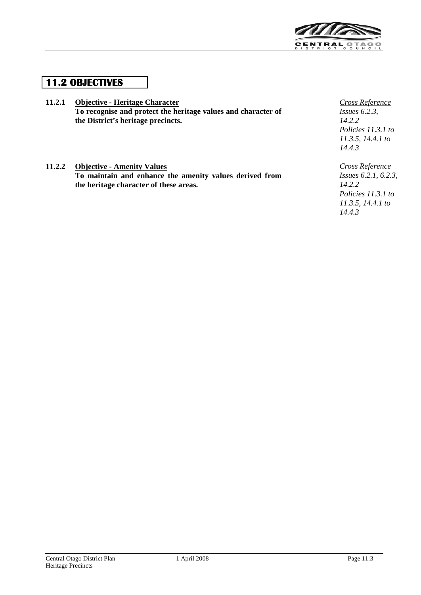

# **11.2 OBJECTIVES**

- **11.2.1 Objective - Heritage Character To recognise and protect the heritage values and character of the District's heritage precincts.**
- **11.2.2 Objective - Amenity Values To maintain and enhance the amenity values derived from the heritage character of these areas.**

*Cross Reference Issues 6.2.3, 14.2.2 Policies 11.3.1 to 11.3.5, 14.4.1 to 14.4.3*

*Cross Reference Issues 6.2.1, 6.2.3, 14.2.2 Policies 11.3.1 to 11.3.5, 14.4.1 to 14.4.3*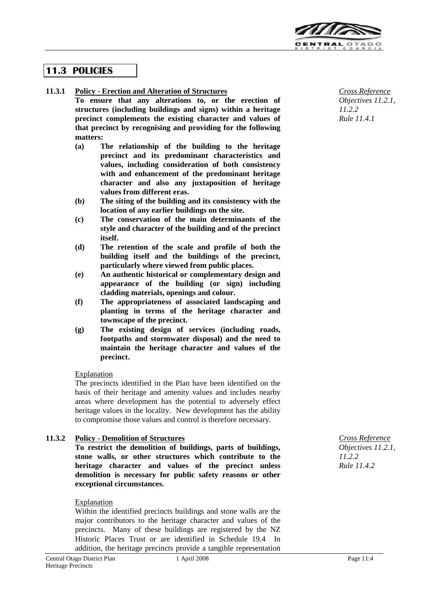

# **11.3 POLICIES**

**11.3.1 Policy - Erection and Alteration of Structures**

**To ensure that any alterations to, or the erection of structures (including buildings and signs) within a heritage precinct complements the existing character and values of that precinct by recognising and providing for the following matters:**

- **(a) The relationship of the building to the heritage precinct and its predominant characteristics and values, including consideration of both consistency with and enhancement of the predominant heritage character and also any juxtaposition of heritage values from different eras.**
- **(b) The siting of the building and its consistency with the location of any earlier buildings on the site.**
- **(c) The conservation of the main determinants of the style and character of the building and of the precinct itself.**
- **(d) The retention of the scale and profile of both the building itself and the buildings of the precinct, particularly where viewed from public places.**
- **(e) An authentic historical or complementary design and appearance of the building (or sign) including cladding materials, openings and colour.**
- **(f) The appropriateness of associated landscaping and planting in terms of the heritage character and townscape of the precinct.**
- **(g) The existing design of services (including roads, footpaths and stormwater disposal) and the need to maintain the heritage character and values of the precinct.**

## **Explanation**

The precincts identified in the Plan have been identified on the basis of their heritage and amenity values and includes nearby areas where development has the potential to adversely effect heritage values in the locality. New development has the ability to compromise those values and control is therefore necessary.

## **11.3.2 Policy - Demolition of Structures**

**To restrict the demolition of buildings, parts of buildings, stone walls, or other structures which contribute to the heritage character and values of the precinct unless demolition is necessary for public safety reasons or other exceptional circumstances.**

#### Explanation

Within the identified precincts buildings and stone walls are the major contributors to the heritage character and values of the precincts. Many of these buildings are registered by the NZ Historic Places Trust or are identified in Schedule 19.4 In addition, the heritage precincts provide a tangible representation

*Cross Reference Objectives 11.2.1, 11.2.2 Rule 11.4.1*

*Cross Reference Objectives 11.2.1, 11.2.2 Rule 11.4.2*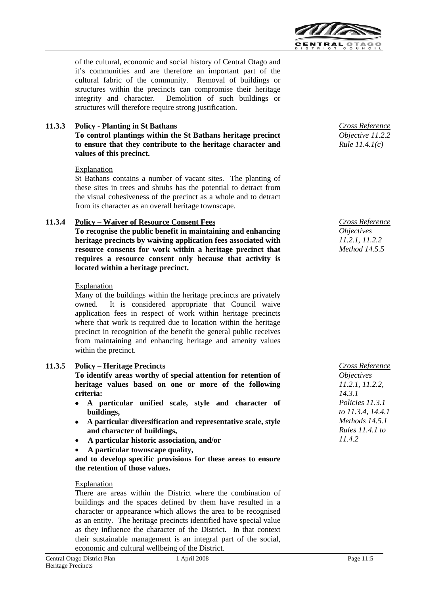

of the cultural, economic and social history of Central Otago and it's communities and are therefore an important part of the cultural fabric of the community. Removal of buildings or structures within the precincts can compromise their heritage integrity and character. Demolition of such buildings or structures will therefore require strong justification.

# **11.3.3 Policy - Planting in St Bathans**

**To control plantings within the St Bathans heritage precinct to ensure that they contribute to the heritage character and values of this precinct.**

#### Explanation

St Bathans contains a number of vacant sites. The planting of these sites in trees and shrubs has the potential to detract from the visual cohesiveness of the precinct as a whole and to detract from its character as an overall heritage townscape.

## **11.3.4 Policy – Waiver of Resource Consent Fees**

**To recognise the public benefit in maintaining and enhancing heritage precincts by waiving application fees associated with resource consents for work within a heritage precinct that requires a resource consent only because that activity is located within a heritage precinct.**

#### **Explanation**

Many of the buildings within the heritage precincts are privately owned. It is considered appropriate that Council waive application fees in respect of work within heritage precincts where that work is required due to location within the heritage precinct in recognition of the benefit the general public receives from maintaining and enhancing heritage and amenity values within the precinct.

## **11.3.5 Policy – Heritage Precincts**

**To identify areas worthy of special attention for retention of heritage values based on one or more of the following criteria:**

- **A particular unified scale, style and character of buildings,**
- **A particular diversification and representative scale, style and character of buildings,**
- **A particular historic association, and/or**
- **A particular townscape quality,**

**and to develop specific provisions for these areas to ensure the retention of those values.**

#### Explanation

There are areas within the District where the combination of buildings and the spaces defined by them have resulted in a character or appearance which allows the area to be recognised as an entity. The heritage precincts identified have special value as they influence the character of the District. In that context their sustainable management is an integral part of the social, economic and cultural wellbeing of the District.



*Cross Reference Objectives 11.2.1, 11.2.2 Method 14.5.5*

*Cross Reference Objectives 11.2.1, 11.2.2, 14.3.1 Policies 11.3.1 to 11.3.4, 14.4.1 Methods 14.5.1 Rules 11.4.1 to 11.4.2*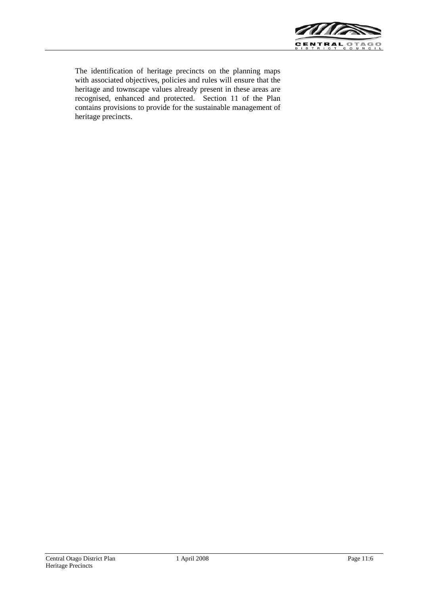

The identification of heritage precincts on the planning maps with associated objectives, policies and rules will ensure that the heritage and townscape values already present in these areas are recognised, enhanced and protected. Section 11 of the Plan contains provisions to provide for the sustainable management of heritage precincts.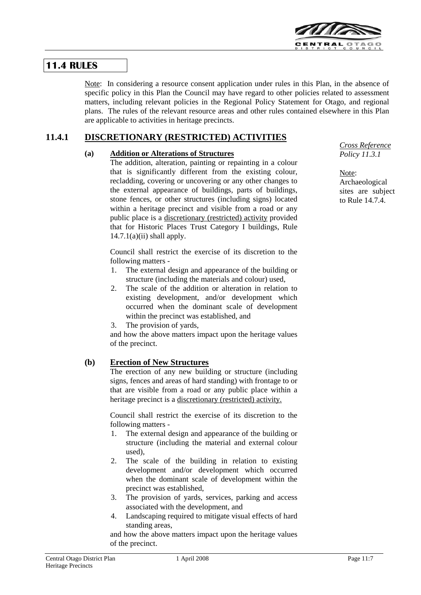

# **11.4 RULES**

Note: In considering a resource consent application under rules in this Plan, in the absence of specific policy in this Plan the Council may have regard to other policies related to assessment matters, including relevant policies in the Regional Policy Statement for Otago, and regional plans. The rules of the relevant resource areas and other rules contained elsewhere in this Plan are applicable to activities in heritage precincts.

# **11.4.1 DISCRETIONARY (RESTRICTED) ACTIVITIES**

## **(a) Addition or Alterations of Structures**

The addition, alteration, painting or repainting in a colour that is significantly different from the existing colour, recladding, covering or uncovering or any other changes to the external appearance of buildings, parts of buildings, stone fences, or other structures (including signs) located within a heritage precinct and visible from a road or any public place is a discretionary (restricted) activity provided that for Historic Places Trust Category I buildings, Rule  $14.7.1(a)(ii)$  shall apply.

Council shall restrict the exercise of its discretion to the following matters -

- 1. The external design and appearance of the building or structure (including the materials and colour) used,
- 2. The scale of the addition or alteration in relation to existing development, and/or development which occurred when the dominant scale of development within the precinct was established, and
- 3. The provision of yards,

and how the above matters impact upon the heritage values of the precinct.

## **(b) Erection of New Structures**

The erection of any new building or structure (including signs, fences and areas of hard standing) with frontage to or that are visible from a road or any public place within a heritage precinct is a discretionary (restricted) activity.

Council shall restrict the exercise of its discretion to the following matters -

- 1. The external design and appearance of the building or structure (including the material and external colour used),
- 2. The scale of the building in relation to existing development and/or development which occurred when the dominant scale of development within the precinct was established,
- 3. The provision of yards, services, parking and access associated with the development, and
- 4. Landscaping required to mitigate visual effects of hard standing areas,

and how the above matters impact upon the heritage values of the precinct.

*Cross Reference Policy 11.3.1*

Note: Archaeological sites are subject to Rule 14.7.4.